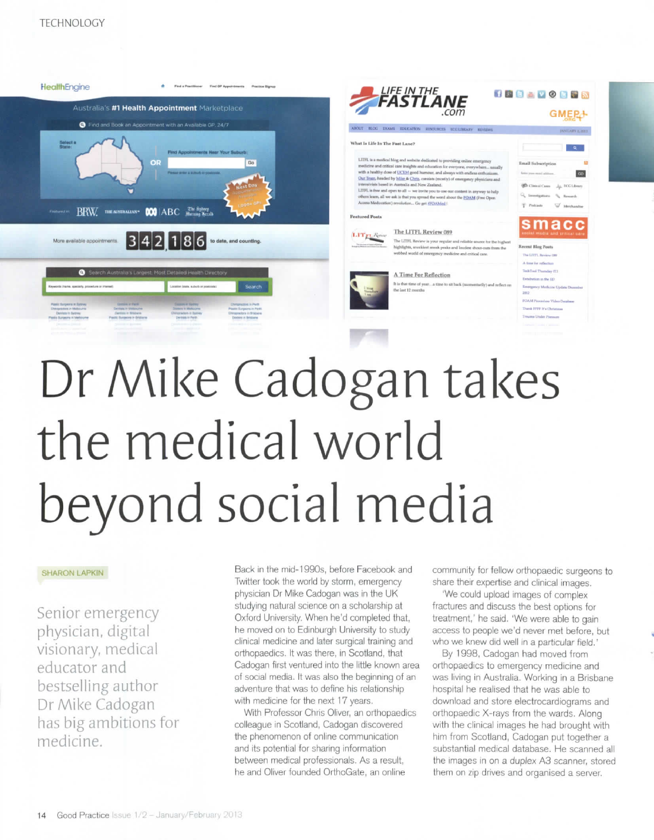



## Dr Mike Cadogan takes the medical world beyond social media

## SHARON LAPKIN

Senior emergency physician, digital visionary, medical educator and bestselling author Dr Mike Cadogan has big ambitions for medicine.

Back in the mid-1990s, before Facebook and Twitter took the world by storm, emergency physician Dr Mike Cadogan was in the UK studying natural science on a scholarship at Oxford University. When he'd completed that, he moved on to Edinburgh University to study clinical medicine and later surgical training and orthopaedics. It was there, in Scotland, that Cadogan first ventured into the little known area of social media. It was also the beginning of an adventure that was to define his relationship with medicine for the next 17 years.

With Professor Chris Oliver, an orthopaedics colleague in Scotland, Cadogan discovered the phenomenon of online communication and its potential for sharing information between medical professionals. As a result, he and Oliver founded OrthoGate, an online

community for fellow orthopaedic surgeons to share their expertise and clinical images.

'We could upload images of complex fractures and discuss the best options for treatment,' he said. 'We were able to gain access to people we'd never met before, but who we knew did well in a particular field.'

By 1998, Cadogan had moved from orthopaedics to emergency medicine and was living in Australia. Working in a Brisbane hospital he realised that he was able to download and store electrocardiograms and orthopaedic X-rays from the wards. Along with the clinical images he had brought with him from Scotland, Cadogan put together a substantial medical database. He scanned all the images in on a duplex A3 scanner, stored them on zip drives and organised a server,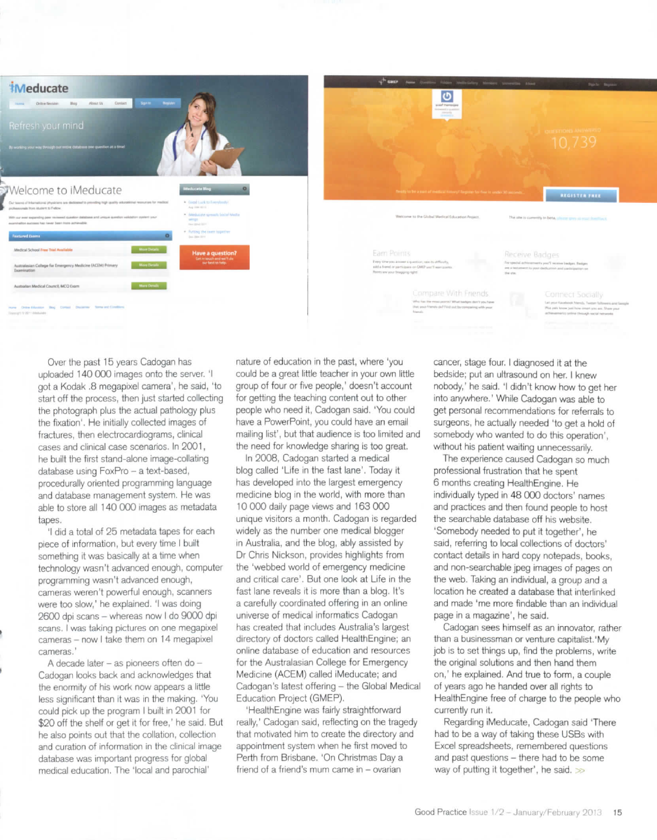

Over the past 15 years Cadogan has uploaded 140 000 images onto the server. 'I got a Kodak .8 megapixel camera', he said, 'to start off the process, then just started collecting the photograph plus the actual pathology plus the fixation'. He initially collected images of fractures, then electrocardiograms, clinical cases and clinical case scenarios. In 2001, he built the first stand-alone image-collating database using FoxPro - a text-based, pracedurally oriented programming language and database management system. He was able to store all 140 000 images as metadata tapes.

'I did a total of 25 metadata tapes for each piece of information, but every time I built something it was basically at a time when technology wasn't advanced enough, computer programming wasn't advanced enough, cameras weren't powerful enough, scanners were too slow,' he explained. 'I was doing 2600 dpi scans - whereas now I do 9000 dpi scans. I was taking pictures on one megapixel cameras - now I take them on 14 megapixel cameras.'

A decade later - as pioneers often do -Cadogan looks back and acknowledges that the enormity of his work now appears a little less significant than it was in the making. 'You could pick up the program I built in 2001 for \$20 off the shelf or get it for free,' he said, But he also points out that the collation, collection and curation of information in the clinical image database was important progress for global medical education. The 'local and parochial'

nature of education in the past, where 'you could be a great little teacher in your own little group of four or five people,' doesn't account for getting the teaching content out to other people who need it, Cadogan said. 'You could have a PowerPoint, you could have an email mailing list', but that audience is too limited and the need for knowledge sharing is too great.

In 2008, Cadogan started a medical blog called 'Life in the fast lane'. Today it has developed into the largest emergency medicine blog in the world, with more than 10 000 daily page views and 163 000 unique visitors a month. Cadogan is regarded widely as the number one medical blogger in Australia, and the blog, ably assisted by Dr Chris Nickson, provides highlights from the 'webbed world of emergency medicine and critical care'. But one look at Life in the fast lane reveals it is more than a blog. It's a carefully coordinated offering in an online universe of medical informatics Cadogan has created that includes Australia's largest directory of doctors called HealthEngine; an online database of education and resources for the Australasian College for Emergency Medicine (ACEM) called iMeducate; and Cadogan's latest offering - the Global Medical Education Project (GMEP).

'HealthEngine was fairly straightforward really,' Cadogan said, reflecting on the tragedy that motivated him to create the directory and appointment system when he first moved to Perth from Brisbane. 'On Christmas Day a friend of a friend's mum came in - ovarian

cancer, stage four. I diagnosed it at the bedside; put an ultrasound on her. I knew nobody,' he said. 'I didn't know how to get her into anywhere.' While Cadogan was able to get personal recommendations for referrals to surgeons, he actually needed 'to get a hold of somebody who wanted to do this operation', without his patient waiting unnecessarily.

The experience caused Cadogan so much professional frustration that he spent 6 months creating HealthEngine. He individually typed in 48 000 doctors' names and practices and then found people to host the searchable database off his website. 'Somebody needed to put it together', he said, referring to local collections of doctors' contact details in hard copy notepads, books, and non-searchable jpeg images of pages on the web. Taking an individual, a group and a location he created a database that interlinked and made 'me more findable than an individual page in a magazine', he said.

Cadogan sees himself as an innovator, rather than a businessman or venture capitalist.'My job is to set things up, find the problems, write the original solutions and then hand them on,' he explained. And true to form, a couple of years ago he handed over all rights to HealthEngine free of charge to the people who currently run it.

Regarding iMeducate, Cadogan said There had to be a way of taking these USBs with Excel spreadsheets, remembered questions and past questions - there had to be some way of putting it together', he said.  $\gg$